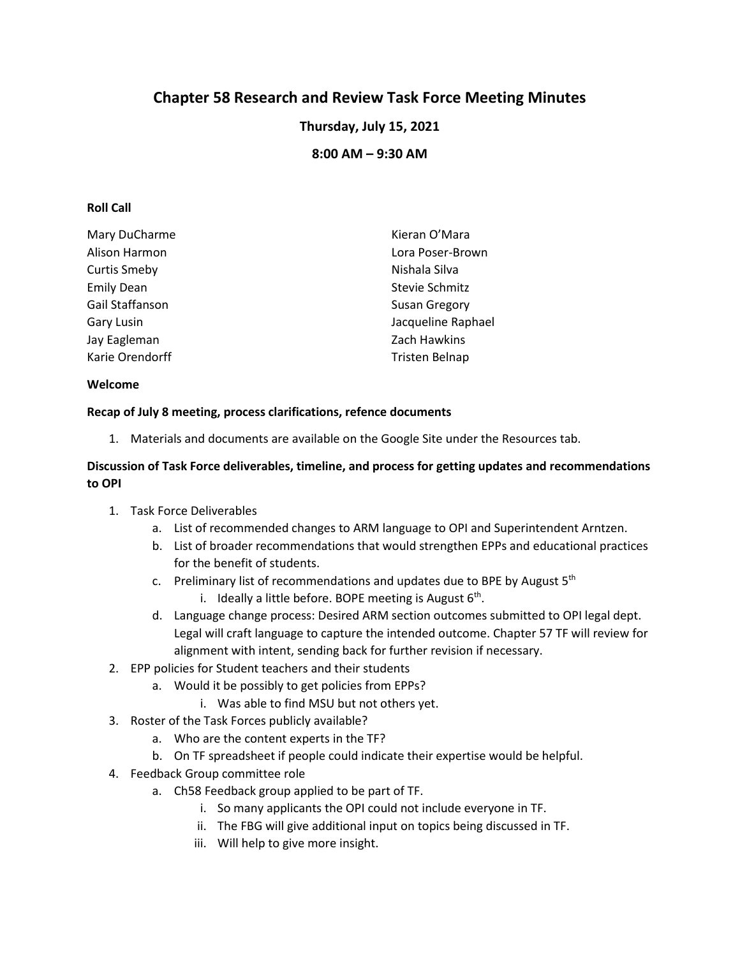# **Chapter 58 Research and Review Task Force Meeting Minutes**

**Thursday, July 15, 2021**

**8:00 AM – 9:30 AM**

### **Roll Call**

| Mary DuCharme       | Kieran O'Mara         |
|---------------------|-----------------------|
| Alison Harmon       | Lora Poser-Brown      |
| <b>Curtis Smeby</b> | Nishala Silva         |
| <b>Emily Dean</b>   | Stevie Schmitz        |
| Gail Staffanson     | <b>Susan Gregory</b>  |
| Gary Lusin          | Jacqueline Raphael    |
| Jay Eagleman        | Zach Hawkins          |
| Karie Orendorff     | <b>Tristen Belnap</b> |

#### **Welcome**

#### **Recap of July 8 meeting, process clarifications, refence documents**

1. Materials and documents are available on the Google Site under the Resources tab.

## **Discussion of Task Force deliverables, timeline, and process for getting updates and recommendations to OPI**

- 1. Task Force Deliverables
	- a. List of recommended changes to ARM language to OPI and Superintendent Arntzen.
	- b. List of broader recommendations that would strengthen EPPs and educational practices for the benefit of students.
	- c. Preliminary list of recommendations and updates due to BPE by August 5<sup>th</sup> i. Ideally a little before. BOPE meeting is August  $6<sup>th</sup>$ .
	- d. Language change process: Desired ARM section outcomes submitted to OPI legal dept. Legal will craft language to capture the intended outcome. Chapter 57 TF will review for alignment with intent, sending back for further revision if necessary.
- 2. EPP policies for Student teachers and their students
	- a. Would it be possibly to get policies from EPPs?
		- i. Was able to find MSU but not others yet.
- 3. Roster of the Task Forces publicly available?
	- a. Who are the content experts in the TF?
	- b. On TF spreadsheet if people could indicate their expertise would be helpful.
- 4. Feedback Group committee role
	- a. Ch58 Feedback group applied to be part of TF.
		- i. So many applicants the OPI could not include everyone in TF.
		- ii. The FBG will give additional input on topics being discussed in TF.
		- iii. Will help to give more insight.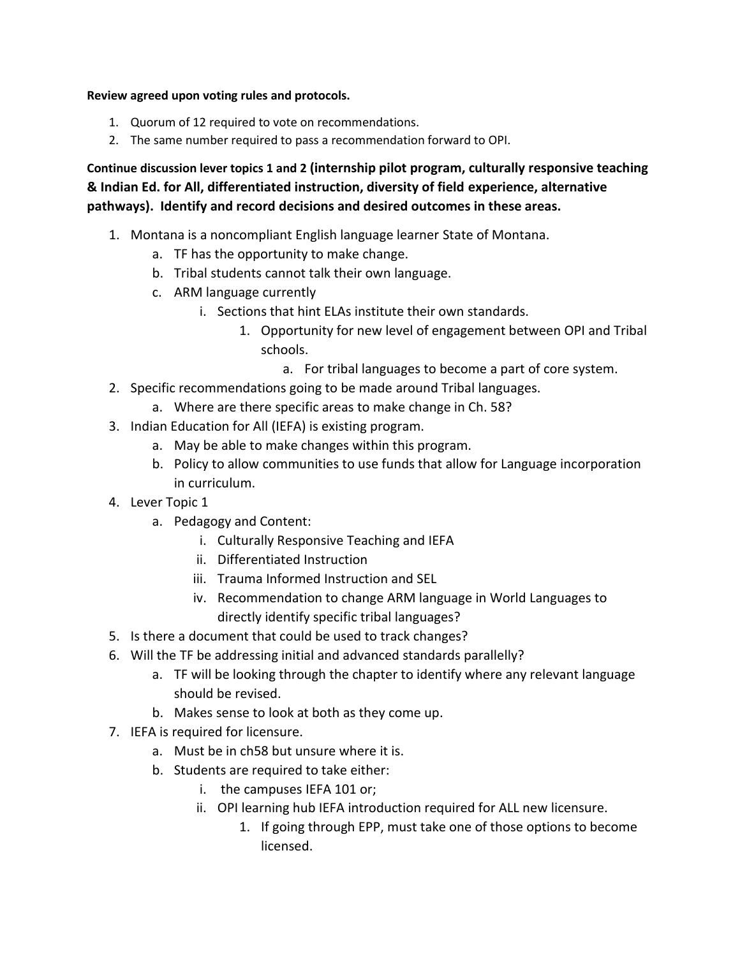### **Review agreed upon voting rules and protocols.**

- 1. Quorum of 12 required to vote on recommendations.
- 2. The same number required to pass a recommendation forward to OPI.

**Continue discussion lever topics 1 and 2 (internship pilot program, culturally responsive teaching & Indian Ed. for All, differentiated instruction, diversity of field experience, alternative pathways). Identify and record decisions and desired outcomes in these areas.**

- 1. Montana is a noncompliant English language learner State of Montana.
	- a. TF has the opportunity to make change.
	- b. Tribal students cannot talk their own language.
	- c. ARM language currently
		- i. Sections that hint ELAs institute their own standards.
			- 1. Opportunity for new level of engagement between OPI and Tribal schools.
				- a. For tribal languages to become a part of core system.
- 2. Specific recommendations going to be made around Tribal languages.
	- a. Where are there specific areas to make change in Ch. 58?
- 3. Indian Education for All (IEFA) is existing program.
	- a. May be able to make changes within this program.
	- b. Policy to allow communities to use funds that allow for Language incorporation in curriculum.
- 4. Lever Topic 1
	- a. Pedagogy and Content:
		- i. Culturally Responsive Teaching and IEFA
		- ii. Differentiated Instruction
		- iii. Trauma Informed Instruction and SEL
		- iv. Recommendation to change ARM language in World Languages to directly identify specific tribal languages?
- 5. Is there a document that could be used to track changes?
- 6. Will the TF be addressing initial and advanced standards parallelly?
	- a. TF will be looking through the chapter to identify where any relevant language should be revised.
	- b. Makes sense to look at both as they come up.
- 7. IEFA is required for licensure.
	- a. Must be in ch58 but unsure where it is.
	- b. Students are required to take either:
		- i. the campuses IEFA 101 or;
		- ii. OPI learning hub IEFA introduction required for ALL new licensure.
			- 1. If going through EPP, must take one of those options to become licensed.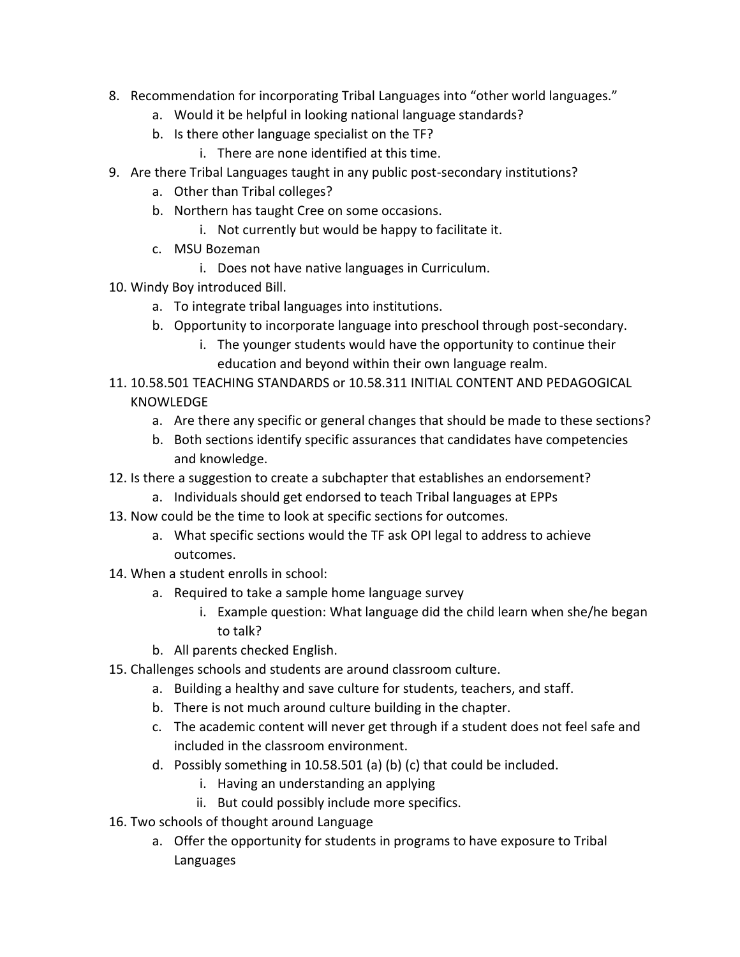- 8. Recommendation for incorporating Tribal Languages into "other world languages."
	- a. Would it be helpful in looking national language standards?
	- b. Is there other language specialist on the TF?
		- i. There are none identified at this time.
- 9. Are there Tribal Languages taught in any public post-secondary institutions?
	- a. Other than Tribal colleges?
	- b. Northern has taught Cree on some occasions.
		- i. Not currently but would be happy to facilitate it.
	- c. MSU Bozeman
		- i. Does not have native languages in Curriculum.
- 10. Windy Boy introduced Bill.
	- a. To integrate tribal languages into institutions.
	- b. Opportunity to incorporate language into preschool through post-secondary.
		- i. The younger students would have the opportunity to continue their education and beyond within their own language realm.
- 11. 10.58.501 TEACHING STANDARDS or 10.58.311 INITIAL CONTENT AND PEDAGOGICAL KNOWLEDGE
	- a. Are there any specific or general changes that should be made to these sections?
	- b. Both sections identify specific assurances that candidates have competencies and knowledge.
- 12. Is there a suggestion to create a subchapter that establishes an endorsement?
	- a. Individuals should get endorsed to teach Tribal languages at EPPs
- 13. Now could be the time to look at specific sections for outcomes.
	- a. What specific sections would the TF ask OPI legal to address to achieve outcomes.
- 14. When a student enrolls in school:
	- a. Required to take a sample home language survey
		- i. Example question: What language did the child learn when she/he began to talk?
	- b. All parents checked English.
- 15. Challenges schools and students are around classroom culture.
	- a. Building a healthy and save culture for students, teachers, and staff.
	- b. There is not much around culture building in the chapter.
	- c. The academic content will never get through if a student does not feel safe and included in the classroom environment.
	- d. Possibly something in 10.58.501 (a) (b) (c) that could be included.
		- i. Having an understanding an applying
		- ii. But could possibly include more specifics.
- 16. Two schools of thought around Language
	- a. Offer the opportunity for students in programs to have exposure to Tribal Languages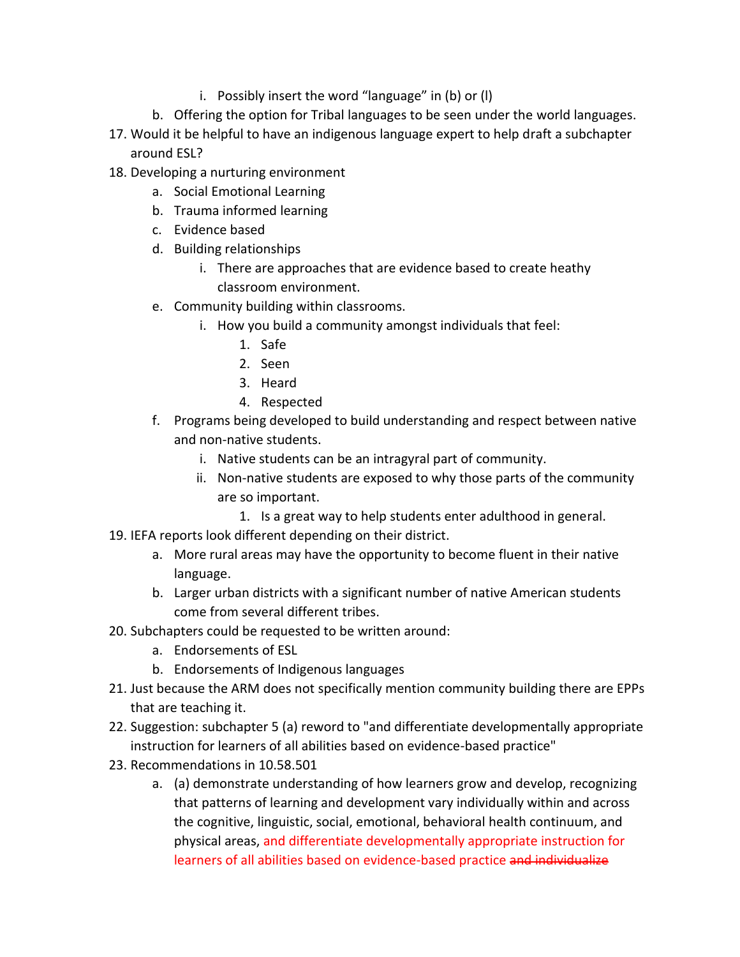- i. Possibly insert the word "language" in (b) or (l)
- b. Offering the option for Tribal languages to be seen under the world languages.
- 17. Would it be helpful to have an indigenous language expert to help draft a subchapter around ESL?
- 18. Developing a nurturing environment
	- a. Social Emotional Learning
	- b. Trauma informed learning
	- c. Evidence based
	- d. Building relationships
		- i. There are approaches that are evidence based to create heathy classroom environment.
	- e. Community building within classrooms.
		- i. How you build a community amongst individuals that feel:
			- 1. Safe
			- 2. Seen
			- 3. Heard
			- 4. Respected
	- f. Programs being developed to build understanding and respect between native and non-native students.
		- i. Native students can be an intragyral part of community.
		- ii. Non-native students are exposed to why those parts of the community are so important.
			- 1. Is a great way to help students enter adulthood in general.
- 19. IEFA reports look different depending on their district.
	- a. More rural areas may have the opportunity to become fluent in their native language.
	- b. Larger urban districts with a significant number of native American students come from several different tribes.
- 20. Subchapters could be requested to be written around:
	- a. Endorsements of ESL
	- b. Endorsements of Indigenous languages
- 21. Just because the ARM does not specifically mention community building there are EPPs that are teaching it.
- 22. Suggestion: subchapter 5 (a) reword to "and differentiate developmentally appropriate instruction for learners of all abilities based on evidence-based practice"
- 23. Recommendations in 10.58.501
	- a. (a) demonstrate understanding of how learners grow and develop, recognizing that patterns of learning and development vary individually within and across the cognitive, linguistic, social, emotional, behavioral health continuum, and physical areas, and differentiate developmentally appropriate instruction for learners of all abilities based on evidence-based practice and individualize